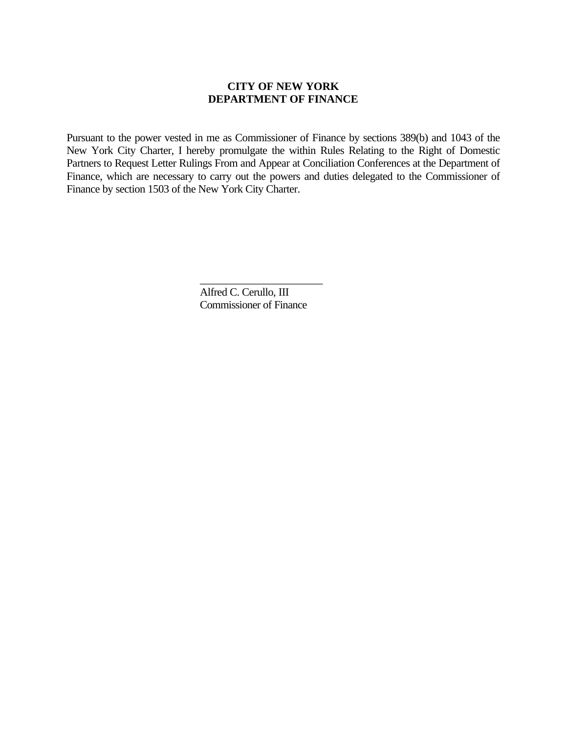## **CITY OF NEW YORK DEPARTMENT OF FINANCE**

Pursuant to the power vested in me as Commissioner of Finance by sections 389(b) and 1043 of the New York City Charter, I hereby promulgate the within Rules Relating to the Right of Domestic Partners to Request Letter Rulings From and Appear at Conciliation Conferences at the Department of Finance, which are necessary to carry out the powers and duties delegated to the Commissioner of Finance by section 1503 of the New York City Charter.

> \_\_\_\_\_\_\_\_\_\_\_\_\_\_\_\_\_\_\_\_\_\_\_ Alfred C. Cerullo, III Commissioner of Finance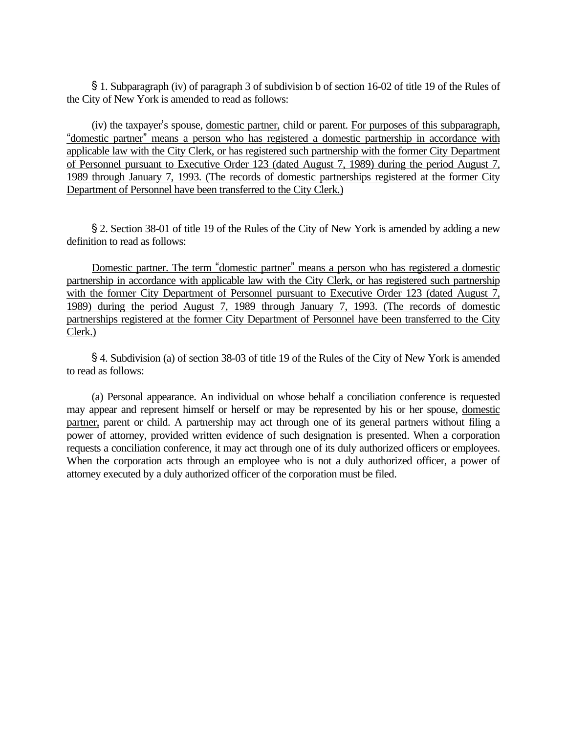' 1. Subparagraph (iv) of paragraph 3 of subdivision b of section 16-02 of title 19 of the Rules of the City of New York is amended to read as follows:

(iv) the taxpayer's spouse, domestic partner, child or parent. For purposes of this subparagraph, "domestic partner" means a person who has registered a domestic partnership in accordance with applicable law with the City Clerk, or has registered such partnership with the former City Department of Personnel pursuant to Executive Order 123 (dated August 7, 1989) during the period August 7, 1989 through January 7, 1993. (The records of domestic partnerships registered at the former City Department of Personnel have been transferred to the City Clerk.)

' 2. Section 38-01 of title 19 of the Rules of the City of New York is amended by adding a new definition to read as follows:

Domestic partner. The term "domestic partner" means a person who has registered a domestic partnership in accordance with applicable law with the City Clerk, or has registered such partnership with the former City Department of Personnel pursuant to Executive Order 123 (dated August 7, 1989) during the period August 7, 1989 through January 7, 1993. (The records of domestic partnerships registered at the former City Department of Personnel have been transferred to the City Clerk.)

' 4. Subdivision (a) of section 38-03 of title 19 of the Rules of the City of New York is amended to read as follows:

(a) Personal appearance. An individual on whose behalf a conciliation conference is requested may appear and represent himself or herself or may be represented by his or her spouse, domestic partner, parent or child. A partnership may act through one of its general partners without filing a power of attorney, provided written evidence of such designation is presented. When a corporation requests a conciliation conference, it may act through one of its duly authorized officers or employees. When the corporation acts through an employee who is not a duly authorized officer, a power of attorney executed by a duly authorized officer of the corporation must be filed.